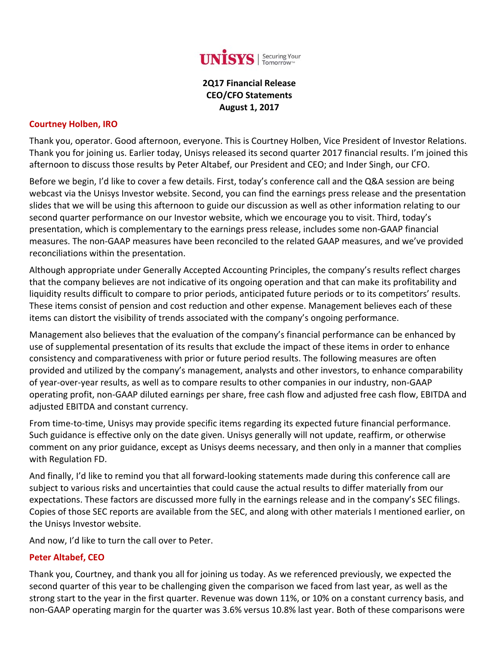

### **2Q17 Financial Release CEO/CFO Statements August 1, 2017**

#### **Courtney Holben, IRO**

Thank you, operator. Good afternoon, everyone. This is Courtney Holben, Vice President of Investor Relations. Thank you for joining us. Earlier today, Unisys released its second quarter 2017 financial results. I'm joined this afternoon to discuss those results by Peter Altabef, our President and CEO; and Inder Singh, our CFO.

Before we begin, I'd like to cover a few details. First, today's conference call and the Q&A session are being webcast via the Unisys Investor website. Second, you can find the earnings press release and the presentation slides that we will be using this afternoon to guide our discussion as well as other information relating to our second quarter performance on our Investor website, which we encourage you to visit. Third, today's presentation, which is complementary to the earnings press release, includes some non‐GAAP financial measures. The non‐GAAP measures have been reconciled to the related GAAP measures, and we've provided reconciliations within the presentation.

Although appropriate under Generally Accepted Accounting Principles, the company's results reflect charges that the company believes are not indicative of its ongoing operation and that can make its profitability and liquidity results difficult to compare to prior periods, anticipated future periods or to its competitors' results. These items consist of pension and cost reduction and other expense. Management believes each of these items can distort the visibility of trends associated with the company's ongoing performance.

Management also believes that the evaluation of the company's financial performance can be enhanced by use of supplemental presentation of its results that exclude the impact of these items in order to enhance consistency and comparativeness with prior or future period results. The following measures are often provided and utilized by the company's management, analysts and other investors, to enhance comparability of year‐over‐year results, as well as to compare results to other companies in our industry, non‐GAAP operating profit, non‐GAAP diluted earnings per share, free cash flow and adjusted free cash flow, EBITDA and adjusted EBITDA and constant currency.

From time-to-time, Unisys may provide specific items regarding its expected future financial performance. Such guidance is effective only on the date given. Unisys generally will not update, reaffirm, or otherwise comment on any prior guidance, except as Unisys deems necessary, and then only in a manner that complies with Regulation FD.

And finally, I'd like to remind you that all forward‐looking statements made during this conference call are subject to various risks and uncertainties that could cause the actual results to differ materially from our expectations. These factors are discussed more fully in the earnings release and in the company's SEC filings. Copies of those SEC reports are available from the SEC, and along with other materials I mentioned earlier, on the Unisys Investor website.

And now, I'd like to turn the call over to Peter.

#### **Peter Altabef, CEO**

Thank you, Courtney, and thank you all for joining us today. As we referenced previously, we expected the second quarter of this year to be challenging given the comparison we faced from last year, as well as the strong start to the year in the first quarter. Revenue was down 11%, or 10% on a constant currency basis, and non‐GAAP operating margin for the quarter was 3.6% versus 10.8% last year. Both of these comparisons were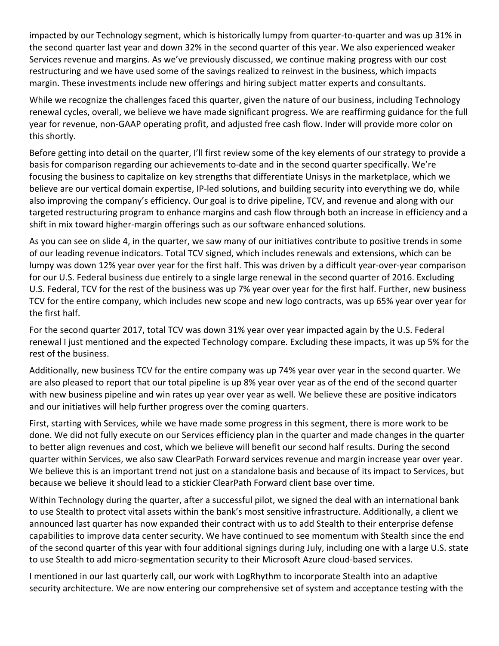impacted by our Technology segment, which is historically lumpy from quarter-to-quarter and was up 31% in the second quarter last year and down 32% in the second quarter of this year. We also experienced weaker Services revenue and margins. As we've previously discussed, we continue making progress with our cost restructuring and we have used some of the savings realized to reinvest in the business, which impacts margin. These investments include new offerings and hiring subject matter experts and consultants.

While we recognize the challenges faced this quarter, given the nature of our business, including Technology renewal cycles, overall, we believe we have made significant progress. We are reaffirming guidance for the full year for revenue, non‐GAAP operating profit, and adjusted free cash flow. Inder will provide more color on this shortly.

Before getting into detail on the quarter, I'll first review some of the key elements of our strategy to provide a basis for comparison regarding our achievements to-date and in the second quarter specifically. We're focusing the business to capitalize on key strengths that differentiate Unisys in the marketplace, which we believe are our vertical domain expertise, IP‐led solutions, and building security into everything we do, while also improving the company's efficiency. Our goal is to drive pipeline, TCV, and revenue and along with our targeted restructuring program to enhance margins and cash flow through both an increase in efficiency and a shift in mix toward higher-margin offerings such as our software enhanced solutions.

As you can see on slide 4, in the quarter, we saw many of our initiatives contribute to positive trends in some of our leading revenue indicators. Total TCV signed, which includes renewals and extensions, which can be lumpy was down 12% year over year for the first half. This was driven by a difficult year‐over‐year comparison for our U.S. Federal business due entirely to a single large renewal in the second quarter of 2016. Excluding U.S. Federal, TCV for the rest of the business was up 7% year over year for the first half. Further, new business TCV for the entire company, which includes new scope and new logo contracts, was up 65% year over year for the first half.

For the second quarter 2017, total TCV was down 31% year over year impacted again by the U.S. Federal renewal I just mentioned and the expected Technology compare. Excluding these impacts, it was up 5% for the rest of the business.

Additionally, new business TCV for the entire company was up 74% year over year in the second quarter. We are also pleased to report that our total pipeline is up 8% year over year as of the end of the second quarter with new business pipeline and win rates up year over year as well. We believe these are positive indicators and our initiatives will help further progress over the coming quarters.

First, starting with Services, while we have made some progress in this segment, there is more work to be done. We did not fully execute on our Services efficiency plan in the quarter and made changes in the quarter to better align revenues and cost, which we believe will benefit our second half results. During the second quarter within Services, we also saw ClearPath Forward services revenue and margin increase year over year. We believe this is an important trend not just on a standalone basis and because of its impact to Services, but because we believe it should lead to a stickier ClearPath Forward client base over time.

Within Technology during the quarter, after a successful pilot, we signed the deal with an international bank to use Stealth to protect vital assets within the bank's most sensitive infrastructure. Additionally, a client we announced last quarter has now expanded their contract with us to add Stealth to their enterprise defense capabilities to improve data center security. We have continued to see momentum with Stealth since the end of the second quarter of this year with four additional signings during July, including one with a large U.S. state to use Stealth to add micro-segmentation security to their Microsoft Azure cloud-based services.

I mentioned in our last quarterly call, our work with LogRhythm to incorporate Stealth into an adaptive security architecture. We are now entering our comprehensive set of system and acceptance testing with the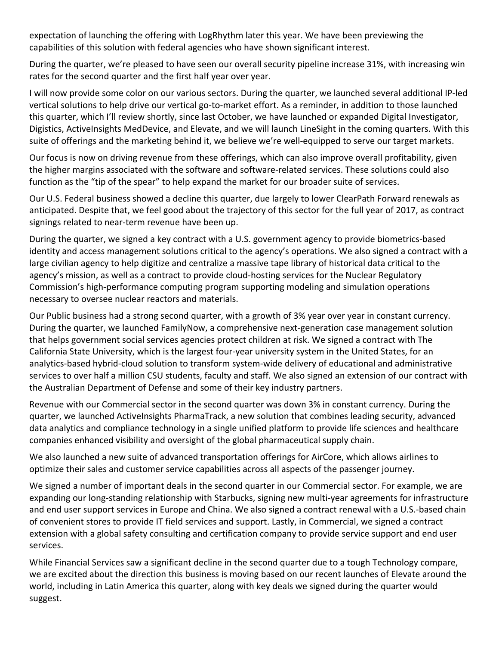expectation of launching the offering with LogRhythm later this year. We have been previewing the capabilities of this solution with federal agencies who have shown significant interest.

During the quarter, we're pleased to have seen our overall security pipeline increase 31%, with increasing win rates for the second quarter and the first half year over year.

I will now provide some color on our various sectors. During the quarter, we launched several additional IP‐led vertical solutions to help drive our vertical go‐to‐market effort. As a reminder, in addition to those launched this quarter, which I'll review shortly, since last October, we have launched or expanded Digital Investigator, Digistics, ActiveInsights MedDevice, and Elevate, and we will launch LineSight in the coming quarters. With this suite of offerings and the marketing behind it, we believe we're well-equipped to serve our target markets.

Our focus is now on driving revenue from these offerings, which can also improve overall profitability, given the higher margins associated with the software and software‐related services. These solutions could also function as the "tip of the spear" to help expand the market for our broader suite of services.

Our U.S. Federal business showed a decline this quarter, due largely to lower ClearPath Forward renewals as anticipated. Despite that, we feel good about the trajectory of this sector for the full year of 2017, as contract signings related to near‐term revenue have been up.

During the quarter, we signed a key contract with a U.S. government agency to provide biometrics‐based identity and access management solutions critical to the agency's operations. We also signed a contract with a large civilian agency to help digitize and centralize a massive tape library of historical data critical to the agency's mission, as well as a contract to provide cloud-hosting services for the Nuclear Regulatory Commission's high‐performance computing program supporting modeling and simulation operations necessary to oversee nuclear reactors and materials.

Our Public business had a strong second quarter, with a growth of 3% year over year in constant currency. During the quarter, we launched FamilyNow, a comprehensive next‐generation case management solution that helps government social services agencies protect children at risk. We signed a contract with The California State University, which is the largest four‐year university system in the United States, for an analytics‐based hybrid‐cloud solution to transform system‐wide delivery of educational and administrative services to over half a million CSU students, faculty and staff. We also signed an extension of our contract with the Australian Department of Defense and some of their key industry partners.

Revenue with our Commercial sector in the second quarter was down 3% in constant currency. During the quarter, we launched ActiveInsights PharmaTrack, a new solution that combines leading security, advanced data analytics and compliance technology in a single unified platform to provide life sciences and healthcare companies enhanced visibility and oversight of the global pharmaceutical supply chain.

We also launched a new suite of advanced transportation offerings for AirCore, which allows airlines to optimize their sales and customer service capabilities across all aspects of the passenger journey.

We signed a number of important deals in the second quarter in our Commercial sector. For example, we are expanding our long-standing relationship with Starbucks, signing new multi-year agreements for infrastructure and end user support services in Europe and China. We also signed a contract renewal with a U.S.‐based chain of convenient stores to provide IT field services and support. Lastly, in Commercial, we signed a contract extension with a global safety consulting and certification company to provide service support and end user services.

While Financial Services saw a significant decline in the second quarter due to a tough Technology compare, we are excited about the direction this business is moving based on our recent launches of Elevate around the world, including in Latin America this quarter, along with key deals we signed during the quarter would suggest.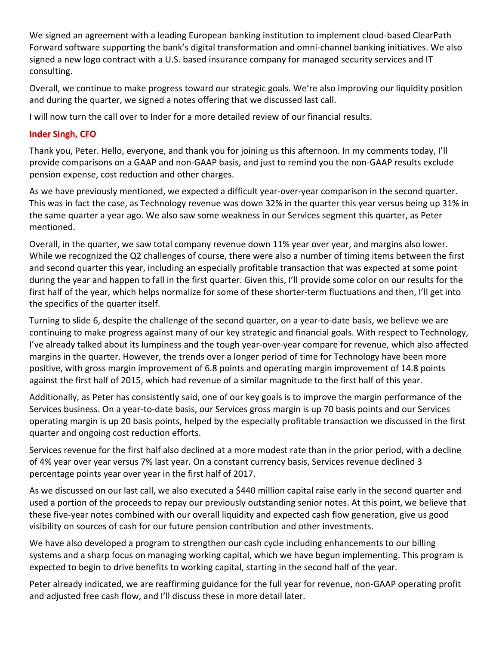We signed an agreement with a leading European banking institution to implement cloud‐based ClearPath Forward software supporting the bank's digital transformation and omni‐channel banking initiatives. We also signed a new logo contract with a U.S. based insurance company for managed security services and IT consulting.

Overall, we continue to make progress toward our strategic goals. We're also improving our liquidity position and during the quarter, we signed a notes offering that we discussed last call.

I will now turn the call over to Inder for a more detailed review of our financial results.

### **Inder Singh, CFO**

Thank you, Peter. Hello, everyone, and thank you for joining us this afternoon. In my comments today, I'll provide comparisons on a GAAP and non‐GAAP basis, and just to remind you the non‐GAAP results exclude pension expense, cost reduction and other charges.

As we have previously mentioned, we expected a difficult year‐over‐year comparison in the second quarter. This was in fact the case, as Technology revenue was down 32% in the quarter this year versus being up 31% in the same quarter a year ago. We also saw some weakness in our Services segment this quarter, as Peter mentioned.

Overall, in the quarter, we saw total company revenue down 11% year over year, and margins also lower. While we recognized the Q2 challenges of course, there were also a number of timing items between the first and second quarter this year, including an especially profitable transaction that was expected at some point during the year and happen to fall in the first quarter. Given this, I'll provide some color on our results for the first half of the year, which helps normalize for some of these shorter-term fluctuations and then, I'll get into the specifics of the quarter itself.

Turning to slide 6, despite the challenge of the second quarter, on a year-to-date basis, we believe we are continuing to make progress against many of our key strategic and financial goals. With respect to Technology, I've already talked about its lumpiness and the tough year‐over‐year compare for revenue, which also affected margins in the quarter. However, the trends over a longer period of time for Technology have been more positive, with gross margin improvement of 6.8 points and operating margin improvement of 14.8 points against the first half of 2015, which had revenue of a similar magnitude to the first half of this year.

Additionally, as Peter has consistently said, one of our key goals is to improve the margin performance of the Services business. On a year‐to‐date basis, our Services gross margin is up 70 basis points and our Services operating margin is up 20 basis points, helped by the especially profitable transaction we discussed in the first quarter and ongoing cost reduction efforts.

Services revenue for the first half also declined at a more modest rate than in the prior period, with a decline of 4% year over year versus 7% last year. On a constant currency basis, Services revenue declined 3 percentage points year over year in the first half of 2017.

As we discussed on our last call, we also executed a \$440 million capital raise early in the second quarter and used a portion of the proceeds to repay our previously outstanding senior notes. At this point, we believe that these five‐year notes combined with our overall liquidity and expected cash flow generation, give us good visibility on sources of cash for our future pension contribution and other investments.

We have also developed a program to strengthen our cash cycle including enhancements to our billing systems and a sharp focus on managing working capital, which we have begun implementing. This program is expected to begin to drive benefits to working capital, starting in the second half of the year.

Peter already indicated, we are reaffirming guidance for the full year for revenue, non‐GAAP operating profit and adjusted free cash flow, and I'll discuss these in more detail later.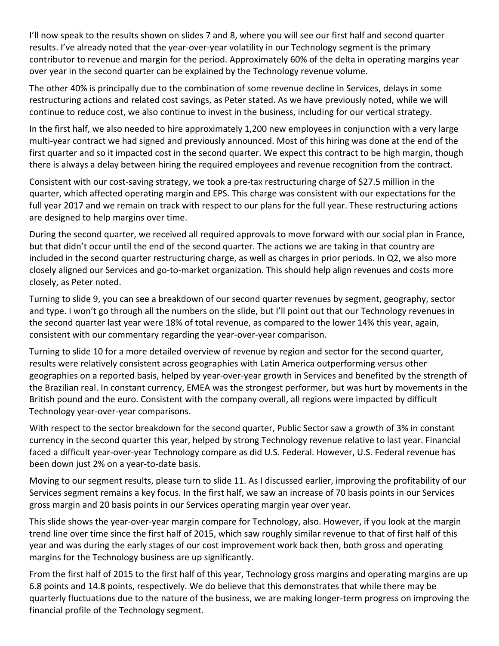I'll now speak to the results shown on slides 7 and 8, where you will see our first half and second quarter results. I've already noted that the year‐over‐year volatility in our Technology segment is the primary contributor to revenue and margin for the period. Approximately 60% of the delta in operating margins year over year in the second quarter can be explained by the Technology revenue volume.

The other 40% is principally due to the combination of some revenue decline in Services, delays in some restructuring actions and related cost savings, as Peter stated. As we have previously noted, while we will continue to reduce cost, we also continue to invest in the business, including for our vertical strategy.

In the first half, we also needed to hire approximately 1,200 new employees in conjunction with a very large multi‐year contract we had signed and previously announced. Most of this hiring was done at the end of the first quarter and so it impacted cost in the second quarter. We expect this contract to be high margin, though there is always a delay between hiring the required employees and revenue recognition from the contract.

Consistent with our cost‐saving strategy, we took a pre‐tax restructuring charge of \$27.5 million in the quarter, which affected operating margin and EPS. This charge was consistent with our expectations for the full year 2017 and we remain on track with respect to our plans for the full year. These restructuring actions are designed to help margins over time.

During the second quarter, we received all required approvals to move forward with our social plan in France, but that didn't occur until the end of the second quarter. The actions we are taking in that country are included in the second quarter restructuring charge, as well as charges in prior periods. In Q2, we also more closely aligned our Services and go‐to‐market organization. This should help align revenues and costs more closely, as Peter noted.

Turning to slide 9, you can see a breakdown of our second quarter revenues by segment, geography, sector and type. I won't go through all the numbers on the slide, but I'll point out that our Technology revenues in the second quarter last year were 18% of total revenue, as compared to the lower 14% this year, again, consistent with our commentary regarding the year‐over‐year comparison.

Turning to slide 10 for a more detailed overview of revenue by region and sector for the second quarter, results were relatively consistent across geographies with Latin America outperforming versus other geographies on a reported basis, helped by year‐over‐year growth in Services and benefited by the strength of the Brazilian real. In constant currency, EMEA was the strongest performer, but was hurt by movements in the British pound and the euro. Consistent with the company overall, all regions were impacted by difficult Technology year‐over‐year comparisons.

With respect to the sector breakdown for the second quarter, Public Sector saw a growth of 3% in constant currency in the second quarter this year, helped by strong Technology revenue relative to last year. Financial faced a difficult year-over-year Technology compare as did U.S. Federal. However, U.S. Federal revenue has been down just 2% on a year‐to‐date basis.

Moving to our segment results, please turn to slide 11. As I discussed earlier, improving the profitability of our Services segment remains a key focus. In the first half, we saw an increase of 70 basis points in our Services gross margin and 20 basis points in our Services operating margin year over year.

This slide shows the year‐over‐year margin compare for Technology, also. However, if you look at the margin trend line over time since the first half of 2015, which saw roughly similar revenue to that of first half of this year and was during the early stages of our cost improvement work back then, both gross and operating margins for the Technology business are up significantly.

From the first half of 2015 to the first half of this year, Technology gross margins and operating margins are up 6.8 points and 14.8 points, respectively. We do believe that this demonstrates that while there may be quarterly fluctuations due to the nature of the business, we are making longer‐term progress on improving the financial profile of the Technology segment.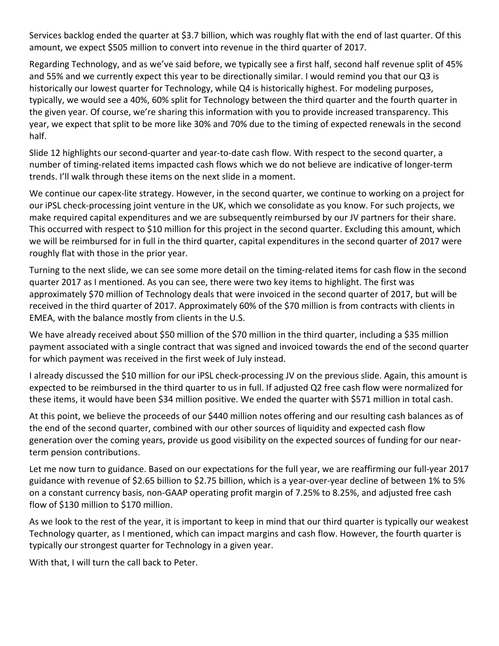Services backlog ended the quarter at \$3.7 billion, which was roughly flat with the end of last quarter. Of this amount, we expect \$505 million to convert into revenue in the third quarter of 2017.

Regarding Technology, and as we've said before, we typically see a first half, second half revenue split of 45% and 55% and we currently expect this year to be directionally similar. I would remind you that our Q3 is historically our lowest quarter for Technology, while Q4 is historically highest. For modeling purposes, typically, we would see a 40%, 60% split for Technology between the third quarter and the fourth quarter in the given year. Of course, we're sharing this information with you to provide increased transparency. This year, we expect that split to be more like 30% and 70% due to the timing of expected renewals in the second half.

Slide 12 highlights our second-quarter and year-to-date cash flow. With respect to the second quarter, a number of timing-related items impacted cash flows which we do not believe are indicative of longer-term trends. I'll walk through these items on the next slide in a moment.

We continue our capex-lite strategy. However, in the second quarter, we continue to working on a project for our iPSL check‐processing joint venture in the UK, which we consolidate as you know. For such projects, we make required capital expenditures and we are subsequently reimbursed by our JV partners for their share. This occurred with respect to \$10 million for this project in the second quarter. Excluding this amount, which we will be reimbursed for in full in the third quarter, capital expenditures in the second quarter of 2017 were roughly flat with those in the prior year.

Turning to the next slide, we can see some more detail on the timing‐related items for cash flow in the second quarter 2017 as I mentioned. As you can see, there were two key items to highlight. The first was approximately \$70 million of Technology deals that were invoiced in the second quarter of 2017, but will be received in the third quarter of 2017. Approximately 60% of the \$70 million is from contracts with clients in EMEA, with the balance mostly from clients in the U.S.

We have already received about \$50 million of the \$70 million in the third quarter, including a \$35 million payment associated with a single contract that was signed and invoiced towards the end of the second quarter for which payment was received in the first week of July instead.

I already discussed the \$10 million for our iPSL check-processing JV on the previous slide. Again, this amount is expected to be reimbursed in the third quarter to us in full. If adjusted Q2 free cash flow were normalized for these items, it would have been \$34 million positive. We ended the quarter with \$571 million in total cash.

At this point, we believe the proceeds of our \$440 million notes offering and our resulting cash balances as of the end of the second quarter, combined with our other sources of liquidity and expected cash flow generation over the coming years, provide us good visibility on the expected sources of funding for our near‐ term pension contributions.

Let me now turn to guidance. Based on our expectations for the full year, we are reaffirming our full‐year 2017 guidance with revenue of \$2.65 billion to \$2.75 billion, which is a year‐over‐year decline of between 1% to 5% on a constant currency basis, non‐GAAP operating profit margin of 7.25% to 8.25%, and adjusted free cash flow of \$130 million to \$170 million.

As we look to the rest of the year, it is important to keep in mind that our third quarter is typically our weakest Technology quarter, as I mentioned, which can impact margins and cash flow. However, the fourth quarter is typically our strongest quarter for Technology in a given year.

With that, I will turn the call back to Peter.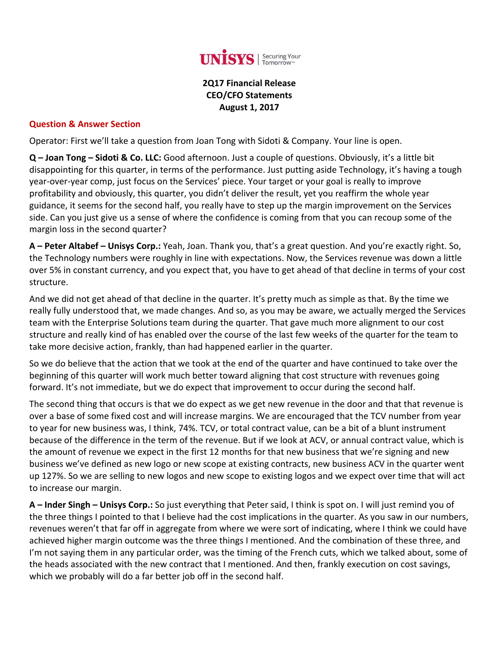

**2Q17 Financial Release CEO/CFO Statements August 1, 2017**

#### **Question & Answer Section**

Operator: First we'll take a question from Joan Tong with Sidoti & Company. Your line is open.

**Q – Joan Tong – Sidoti & Co. LLC:** Good afternoon. Just a couple of questions. Obviously, it's a little bit disappointing for this quarter, in terms of the performance. Just putting aside Technology, it's having a tough year‐over‐year comp, just focus on the Services' piece. Your target or your goal is really to improve profitability and obviously, this quarter, you didn't deliver the result, yet you reaffirm the whole year guidance, it seems for the second half, you really have to step up the margin improvement on the Services side. Can you just give us a sense of where the confidence is coming from that you can recoup some of the margin loss in the second quarter?

**A – Peter Altabef – Unisys Corp.:** Yeah, Joan. Thank you, that's a great question. And you're exactly right. So, the Technology numbers were roughly in line with expectations. Now, the Services revenue was down a little over 5% in constant currency, and you expect that, you have to get ahead of that decline in terms of your cost structure.

And we did not get ahead of that decline in the quarter. It's pretty much as simple as that. By the time we really fully understood that, we made changes. And so, as you may be aware, we actually merged the Services team with the Enterprise Solutions team during the quarter. That gave much more alignment to our cost structure and really kind of has enabled over the course of the last few weeks of the quarter for the team to take more decisive action, frankly, than had happened earlier in the quarter.

So we do believe that the action that we took at the end of the quarter and have continued to take over the beginning of this quarter will work much better toward aligning that cost structure with revenues going forward. It's not immediate, but we do expect that improvement to occur during the second half.

The second thing that occurs is that we do expect as we get new revenue in the door and that that revenue is over a base of some fixed cost and will increase margins. We are encouraged that the TCV number from year to year for new business was, I think, 74%. TCV, or total contract value, can be a bit of a blunt instrument because of the difference in the term of the revenue. But if we look at ACV, or annual contract value, which is the amount of revenue we expect in the first 12 months for that new business that we're signing and new business we've defined as new logo or new scope at existing contracts, new business ACV in the quarter went up 127%. So we are selling to new logos and new scope to existing logos and we expect over time that will act to increase our margin.

**A – Inder Singh – Unisys Corp.:** So just everything that Peter said, I think is spot on. I will just remind you of the three things I pointed to that I believe had the cost implications in the quarter. As you saw in our numbers, revenues weren't that far off in aggregate from where we were sort of indicating, where I think we could have achieved higher margin outcome was the three things I mentioned. And the combination of these three, and I'm not saying them in any particular order, was the timing of the French cuts, which we talked about, some of the heads associated with the new contract that I mentioned. And then, frankly execution on cost savings, which we probably will do a far better job off in the second half.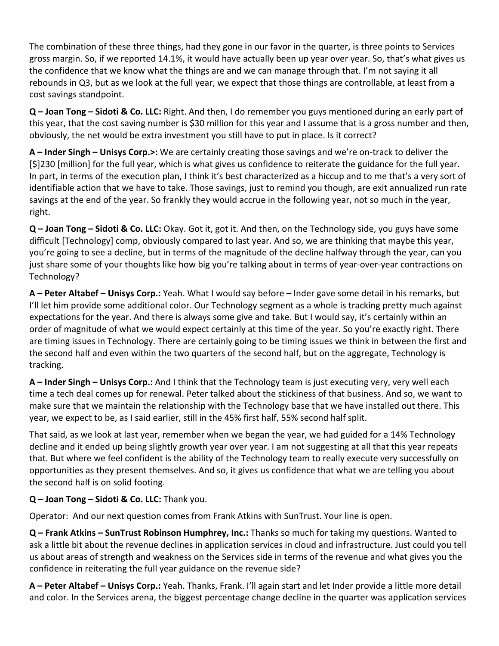The combination of these three things, had they gone in our favor in the quarter, is three points to Services gross margin. So, if we reported 14.1%, it would have actually been up year over year. So, that's what gives us the confidence that we know what the things are and we can manage through that. I'm not saying it all rebounds in Q3, but as we look at the full year, we expect that those things are controllable, at least from a cost savings standpoint.

**Q – Joan Tong – Sidoti & Co. LLC:** Right. And then, I do remember you guys mentioned during an early part of this year, that the cost saving number is \$30 million for this year and I assume that is a gross number and then, obviously, the net would be extra investment you still have to put in place. Is it correct?

**A – Inder Singh – Unisys Corp.>:** We are certainly creating those savings and we're on‐track to deliver the [\$]230 [million] for the full year, which is what gives us confidence to reiterate the guidance for the full year. In part, in terms of the execution plan, I think it's best characterized as a hiccup and to me that's a very sort of identifiable action that we have to take. Those savings, just to remind you though, are exit annualized run rate savings at the end of the year. So frankly they would accrue in the following year, not so much in the year, right.

**Q – Joan Tong – Sidoti & Co. LLC:** Okay. Got it, got it. And then, on the Technology side, you guys have some difficult [Technology] comp, obviously compared to last year. And so, we are thinking that maybe this year, you're going to see a decline, but in terms of the magnitude of the decline halfway through the year, can you just share some of your thoughts like how big you're talking about in terms of year-over-year contractions on Technology?

**A – Peter Altabef – Unisys Corp.:** Yeah. What I would say before – Inder gave some detail in his remarks, but I'll let him provide some additional color. Our Technology segment as a whole is tracking pretty much against expectations for the year. And there is always some give and take. But I would say, it's certainly within an order of magnitude of what we would expect certainly at this time of the year. So you're exactly right. There are timing issues in Technology. There are certainly going to be timing issues we think in between the first and the second half and even within the two quarters of the second half, but on the aggregate, Technology is tracking.

**A – Inder Singh – Unisys Corp.:** And I think that the Technology team is just executing very, very well each time a tech deal comes up for renewal. Peter talked about the stickiness of that business. And so, we want to make sure that we maintain the relationship with the Technology base that we have installed out there. This year, we expect to be, as I said earlier, still in the 45% first half, 55% second half split.

That said, as we look at last year, remember when we began the year, we had guided for a 14% Technology decline and it ended up being slightly growth year over year. I am not suggesting at all that this year repeats that. But where we feel confident is the ability of the Technology team to really execute very successfully on opportunities as they present themselves. And so, it gives us confidence that what we are telling you about the second half is on solid footing.

# **Q – Joan Tong – Sidoti & Co. LLC:** Thank you.

Operator: And our next question comes from Frank Atkins with SunTrust. Your line is open.

**Q – Frank Atkins – SunTrust Robinson Humphrey, Inc.:** Thanks so much for taking my questions. Wanted to ask a little bit about the revenue declines in application services in cloud and infrastructure. Just could you tell us about areas of strength and weakness on the Services side in terms of the revenue and what gives you the confidence in reiterating the full year guidance on the revenue side?

**A – Peter Altabef – Unisys Corp.:** Yeah. Thanks, Frank. I'll again start and let Inder provide a little more detail and color. In the Services arena, the biggest percentage change decline in the quarter was application services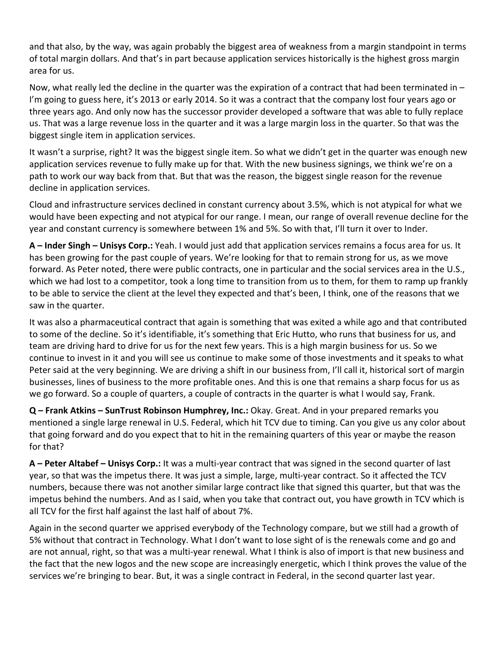and that also, by the way, was again probably the biggest area of weakness from a margin standpoint in terms of total margin dollars. And that's in part because application services historically is the highest gross margin area for us.

Now, what really led the decline in the quarter was the expiration of a contract that had been terminated in – I'm going to guess here, it's 2013 or early 2014. So it was a contract that the company lost four years ago or three years ago. And only now has the successor provider developed a software that was able to fully replace us. That was a large revenue loss in the quarter and it was a large margin loss in the quarter. So that was the biggest single item in application services.

It wasn't a surprise, right? It was the biggest single item. So what we didn't get in the quarter was enough new application services revenue to fully make up for that. With the new business signings, we think we're on a path to work our way back from that. But that was the reason, the biggest single reason for the revenue decline in application services.

Cloud and infrastructure services declined in constant currency about 3.5%, which is not atypical for what we would have been expecting and not atypical for our range. I mean, our range of overall revenue decline for the year and constant currency is somewhere between 1% and 5%. So with that, I'll turn it over to Inder.

**A – Inder Singh – Unisys Corp.:** Yeah. I would just add that application services remains a focus area for us. It has been growing for the past couple of years. We're looking for that to remain strong for us, as we move forward. As Peter noted, there were public contracts, one in particular and the social services area in the U.S., which we had lost to a competitor, took a long time to transition from us to them, for them to ramp up frankly to be able to service the client at the level they expected and that's been, I think, one of the reasons that we saw in the quarter.

It was also a pharmaceutical contract that again is something that was exited a while ago and that contributed to some of the decline. So it's identifiable, it's something that Eric Hutto, who runs that business for us, and team are driving hard to drive for us for the next few years. This is a high margin business for us. So we continue to invest in it and you will see us continue to make some of those investments and it speaks to what Peter said at the very beginning. We are driving a shift in our business from, I'll call it, historical sort of margin businesses, lines of business to the more profitable ones. And this is one that remains a sharp focus for us as we go forward. So a couple of quarters, a couple of contracts in the quarter is what I would say, Frank.

**Q – Frank Atkins – SunTrust Robinson Humphrey, Inc.:** Okay. Great. And in your prepared remarks you mentioned a single large renewal in U.S. Federal, which hit TCV due to timing. Can you give us any color about that going forward and do you expect that to hit in the remaining quarters of this year or maybe the reason for that?

**A – Peter Altabef – Unisys Corp.:** It was a multi‐year contract that was signed in the second quarter of last year, so that was the impetus there. It was just a simple, large, multi‐year contract. So it affected the TCV numbers, because there was not another similar large contract like that signed this quarter, but that was the impetus behind the numbers. And as I said, when you take that contract out, you have growth in TCV which is all TCV for the first half against the last half of about 7%.

Again in the second quarter we apprised everybody of the Technology compare, but we still had a growth of 5% without that contract in Technology. What I don't want to lose sight of is the renewals come and go and are not annual, right, so that was a multi-year renewal. What I think is also of import is that new business and the fact that the new logos and the new scope are increasingly energetic, which I think proves the value of the services we're bringing to bear. But, it was a single contract in Federal, in the second quarter last year.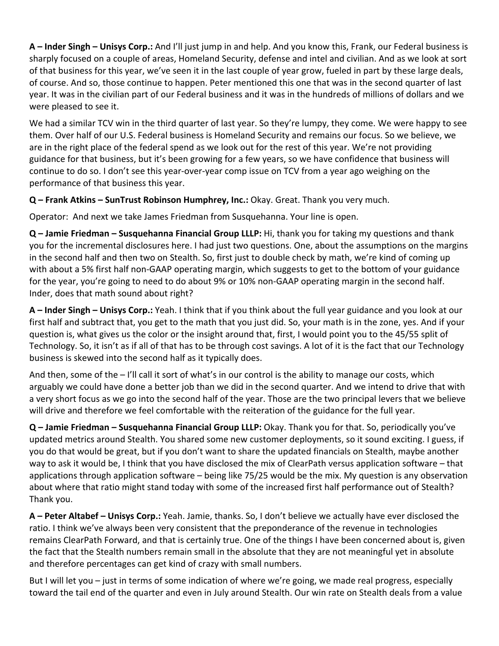**A – Inder Singh – Unisys Corp.:** And I'll just jump in and help. And you know this, Frank, our Federal business is sharply focused on a couple of areas, Homeland Security, defense and intel and civilian. And as we look at sort of that business for this year, we've seen it in the last couple of year grow, fueled in part by these large deals, of course. And so, those continue to happen. Peter mentioned this one that was in the second quarter of last year. It was in the civilian part of our Federal business and it was in the hundreds of millions of dollars and we were pleased to see it.

We had a similar TCV win in the third quarter of last year. So they're lumpy, they come. We were happy to see them. Over half of our U.S. Federal business is Homeland Security and remains our focus. So we believe, we are in the right place of the federal spend as we look out for the rest of this year. We're not providing guidance for that business, but it's been growing for a few years, so we have confidence that business will continue to do so. I don't see this year‐over‐year comp issue on TCV from a year ago weighing on the performance of that business this year.

**Q – Frank Atkins – SunTrust Robinson Humphrey, Inc.:** Okay. Great. Thank you very much.

Operator: And next we take James Friedman from Susquehanna. Your line is open.

**Q – Jamie Friedman – Susquehanna Financial Group LLLP:** Hi, thank you for taking my questions and thank you for the incremental disclosures here. I had just two questions. One, about the assumptions on the margins in the second half and then two on Stealth. So, first just to double check by math, we're kind of coming up with about a 5% first half non-GAAP operating margin, which suggests to get to the bottom of your guidance for the year, you're going to need to do about 9% or 10% non‐GAAP operating margin in the second half. Inder, does that math sound about right?

**A – Inder Singh – Unisys Corp.:** Yeah. I think that if you think about the full year guidance and you look at our first half and subtract that, you get to the math that you just did. So, your math is in the zone, yes. And if your question is, what gives us the color or the insight around that, first, I would point you to the 45/55 split of Technology. So, it isn't as if all of that has to be through cost savings. A lot of it is the fact that our Technology business is skewed into the second half as it typically does.

And then, some of the  $-1$ 'll call it sort of what's in our control is the ability to manage our costs, which arguably we could have done a better job than we did in the second quarter. And we intend to drive that with a very short focus as we go into the second half of the year. Those are the two principal levers that we believe will drive and therefore we feel comfortable with the reiteration of the guidance for the full year.

**Q – Jamie Friedman – Susquehanna Financial Group LLLP:** Okay. Thank you for that. So, periodically you've updated metrics around Stealth. You shared some new customer deployments, so it sound exciting. I guess, if you do that would be great, but if you don't want to share the updated financials on Stealth, maybe another way to ask it would be, I think that you have disclosed the mix of ClearPath versus application software – that applications through application software – being like 75/25 would be the mix. My question is any observation about where that ratio might stand today with some of the increased first half performance out of Stealth? Thank you.

**A – Peter Altabef – Unisys Corp.:** Yeah. Jamie, thanks. So, I don't believe we actually have ever disclosed the ratio. I think we've always been very consistent that the preponderance of the revenue in technologies remains ClearPath Forward, and that is certainly true. One of the things I have been concerned about is, given the fact that the Stealth numbers remain small in the absolute that they are not meaningful yet in absolute and therefore percentages can get kind of crazy with small numbers.

But I will let you – just in terms of some indication of where we're going, we made real progress, especially toward the tail end of the quarter and even in July around Stealth. Our win rate on Stealth deals from a value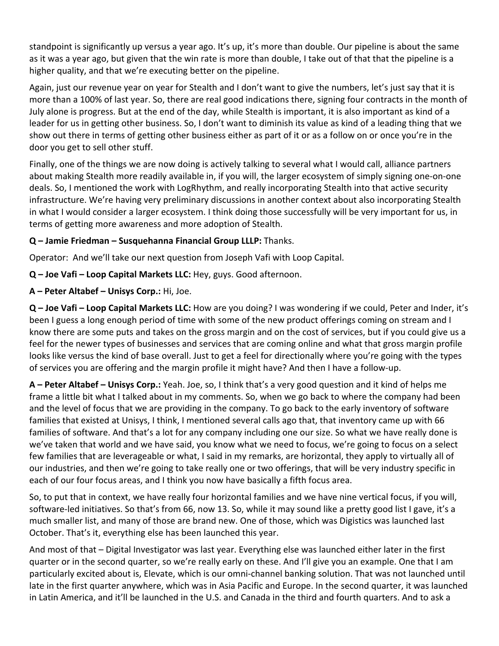standpoint is significantly up versus a year ago. It's up, it's more than double. Our pipeline is about the same as it was a year ago, but given that the win rate is more than double, I take out of that that the pipeline is a higher quality, and that we're executing better on the pipeline.

Again, just our revenue year on year for Stealth and I don't want to give the numbers, let's just say that it is more than a 100% of last year. So, there are real good indications there, signing four contracts in the month of July alone is progress. But at the end of the day, while Stealth is important, it is also important as kind of a leader for us in getting other business. So, I don't want to diminish its value as kind of a leading thing that we show out there in terms of getting other business either as part of it or as a follow on or once you're in the door you get to sell other stuff.

Finally, one of the things we are now doing is actively talking to several what I would call, alliance partners about making Stealth more readily available in, if you will, the larger ecosystem of simply signing one‐on‐one deals. So, I mentioned the work with LogRhythm, and really incorporating Stealth into that active security infrastructure. We're having very preliminary discussions in another context about also incorporating Stealth in what I would consider a larger ecosystem. I think doing those successfully will be very important for us, in terms of getting more awareness and more adoption of Stealth.

# **Q – Jamie Friedman – Susquehanna Financial Group LLLP:** Thanks.

Operator: And we'll take our next question from Joseph Vafi with Loop Capital.

**Q – Joe Vafi – Loop Capital Markets LLC:** Hey, guys. Good afternoon.

**A – Peter Altabef – Unisys Corp.:** Hi, Joe.

**Q – Joe Vafi – Loop Capital Markets LLC:** How are you doing? I was wondering if we could, Peter and Inder, it's been I guess a long enough period of time with some of the new product offerings coming on stream and I know there are some puts and takes on the gross margin and on the cost of services, but if you could give us a feel for the newer types of businesses and services that are coming online and what that gross margin profile looks like versus the kind of base overall. Just to get a feel for directionally where you're going with the types of services you are offering and the margin profile it might have? And then I have a follow‐up.

**A – Peter Altabef – Unisys Corp.:** Yeah. Joe, so, I think that's a very good question and it kind of helps me frame a little bit what I talked about in my comments. So, when we go back to where the company had been and the level of focus that we are providing in the company. To go back to the early inventory of software families that existed at Unisys, I think, I mentioned several calls ago that, that inventory came up with 66 families of software. And that's a lot for any company including one our size. So what we have really done is we've taken that world and we have said, you know what we need to focus, we're going to focus on a select few families that are leverageable or what, I said in my remarks, are horizontal, they apply to virtually all of our industries, and then we're going to take really one or two offerings, that will be very industry specific in each of our four focus areas, and I think you now have basically a fifth focus area.

So, to put that in context, we have really four horizontal families and we have nine vertical focus, if you will, software-led initiatives. So that's from 66, now 13. So, while it may sound like a pretty good list I gave, it's a much smaller list, and many of those are brand new. One of those, which was Digistics was launched last October. That's it, everything else has been launched this year.

And most of that – Digital Investigator was last year. Everything else was launched either later in the first quarter or in the second quarter, so we're really early on these. And I'll give you an example. One that I am particularly excited about is, Elevate, which is our omni‐channel banking solution. That was not launched until late in the first quarter anywhere, which was in Asia Pacific and Europe. In the second quarter, it was launched in Latin America, and it'll be launched in the U.S. and Canada in the third and fourth quarters. And to ask a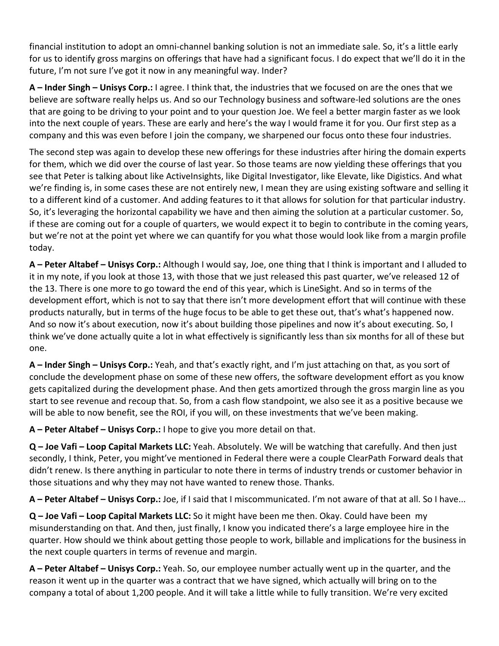financial institution to adopt an omni‐channel banking solution is not an immediate sale. So, it's a little early for us to identify gross margins on offerings that have had a significant focus. I do expect that we'll do it in the future, I'm not sure I've got it now in any meaningful way. Inder?

**A – Inder Singh – Unisys Corp.:** I agree. I think that, the industries that we focused on are the ones that we believe are software really helps us. And so our Technology business and software‐led solutions are the ones that are going to be driving to your point and to your question Joe. We feel a better margin faster as we look into the next couple of years. These are early and here's the way I would frame it for you. Our first step as a company and this was even before I join the company, we sharpened our focus onto these four industries.

The second step was again to develop these new offerings for these industries after hiring the domain experts for them, which we did over the course of last year. So those teams are now yielding these offerings that you see that Peter is talking about like ActiveInsights, like Digital Investigator, like Elevate, like Digistics. And what we're finding is, in some cases these are not entirely new, I mean they are using existing software and selling it to a different kind of a customer. And adding features to it that allows for solution for that particular industry. So, it's leveraging the horizontal capability we have and then aiming the solution at a particular customer. So, if these are coming out for a couple of quarters, we would expect it to begin to contribute in the coming years, but we're not at the point yet where we can quantify for you what those would look like from a margin profile today.

**A – Peter Altabef – Unisys Corp.:** Although I would say, Joe, one thing that I think is important and I alluded to it in my note, if you look at those 13, with those that we just released this past quarter, we've released 12 of the 13. There is one more to go toward the end of this year, which is LineSight. And so in terms of the development effort, which is not to say that there isn't more development effort that will continue with these products naturally, but in terms of the huge focus to be able to get these out, that's what's happened now. And so now it's about execution, now it's about building those pipelines and now it's about executing. So, I think we've done actually quite a lot in what effectively is significantly less than six months for all of these but one.

**A – Inder Singh – Unisys Corp.:** Yeah, and that's exactly right, and I'm just attaching on that, as you sort of conclude the development phase on some of these new offers, the software development effort as you know gets capitalized during the development phase. And then gets amortized through the gross margin line as you start to see revenue and recoup that. So, from a cash flow standpoint, we also see it as a positive because we will be able to now benefit, see the ROI, if you will, on these investments that we've been making.

**A – Peter Altabef – Unisys Corp.:** I hope to give you more detail on that.

**Q – Joe Vafi – Loop Capital Markets LLC:** Yeah. Absolutely. We will be watching that carefully. And then just secondly, I think, Peter, you might've mentioned in Federal there were a couple ClearPath Forward deals that didn't renew. Is there anything in particular to note there in terms of industry trends or customer behavior in those situations and why they may not have wanted to renew those. Thanks.

**A – Peter Altabef – Unisys Corp.:** Joe, if I said that I miscommunicated. I'm not aware of that at all. So I have...

**Q – Joe Vafi – Loop Capital Markets LLC:** So it might have been me then. Okay. Could have been my misunderstanding on that. And then, just finally, I know you indicated there's a large employee hire in the quarter. How should we think about getting those people to work, billable and implications for the business in the next couple quarters in terms of revenue and margin.

**A – Peter Altabef – Unisys Corp.:** Yeah. So, our employee number actually went up in the quarter, and the reason it went up in the quarter was a contract that we have signed, which actually will bring on to the company a total of about 1,200 people. And it will take a little while to fully transition. We're very excited